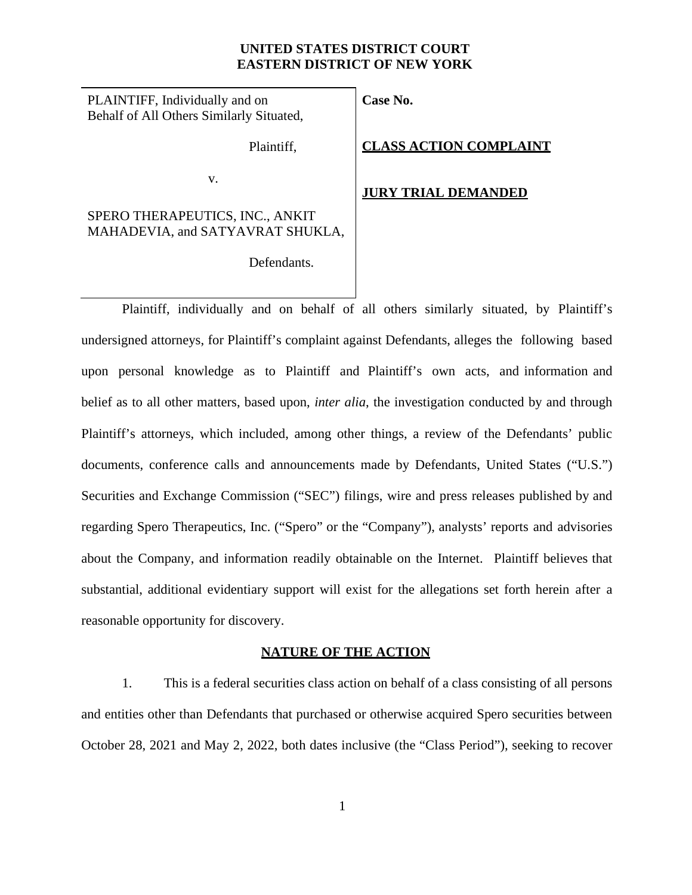## **UNITED STATES DISTRICT COURT EASTERN DISTRICT OF NEW YORK**

**Case No.**

PLAINTIFF, Individually and on Behalf of All Others Similarly Situated,

Plaintiff,

**JURY TRIAL DEMANDED**

**CLASS ACTION COMPLAINT**

SPERO THERAPEUTICS, INC., ANKIT MAHADEVIA, and SATYAVRAT SHUKLA,

v.

Defendants.

Plaintiff, individually and on behalf of all others similarly situated, by Plaintiff's undersigned attorneys, for Plaintiff's complaint against Defendants, alleges the following based upon personal knowledge as to Plaintiff and Plaintiff's own acts, and information and belief as to all other matters, based upon, *inter alia*, the investigation conducted by and through Plaintiff's attorneys, which included, among other things, a review of the Defendants' public documents, conference calls and announcements made by Defendants, United States ("U.S.") Securities and Exchange Commission ("SEC") filings, wire and press releases published by and regarding Spero Therapeutics, Inc. ("Spero" or the "Company"), analysts' reports and advisories about the Company, and information readily obtainable on the Internet. Plaintiff believes that substantial, additional evidentiary support will exist for the allegations set forth herein after a reasonable opportunity for discovery.

## **NATURE OF THE ACTION**

1. This is a federal securities class action on behalf of a class consisting of all persons and entities other than Defendants that purchased or otherwise acquired Spero securities between October 28, 2021 and May 2, 2022, both dates inclusive (the "Class Period"), seeking to recover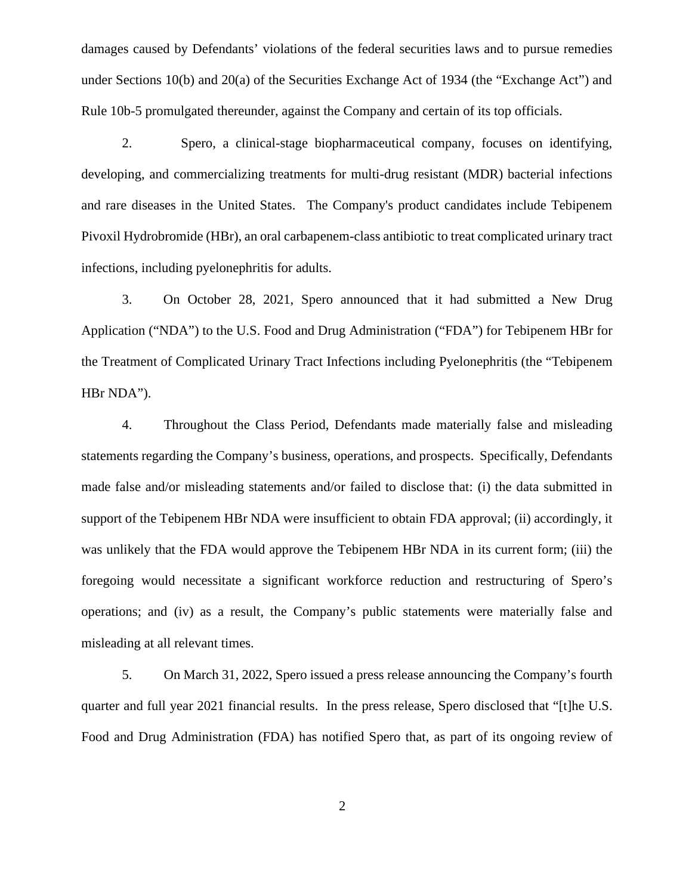damages caused by Defendants' violations of the federal securities laws and to pursue remedies under Sections 10(b) and 20(a) of the Securities Exchange Act of 1934 (the "Exchange Act") and Rule 10b-5 promulgated thereunder, against the Company and certain of its top officials.

2. Spero, a clinical-stage biopharmaceutical company, focuses on identifying, developing, and commercializing treatments for multi-drug resistant (MDR) bacterial infections and rare diseases in the United States. The Company's product candidates include Tebipenem Pivoxil Hydrobromide (HBr), an oral carbapenem-class antibiotic to treat complicated urinary tract infections, including pyelonephritis for adults.

3. On October 28, 2021, Spero announced that it had submitted a New Drug Application ("NDA") to the U.S. Food and Drug Administration ("FDA") for Tebipenem HBr for the Treatment of Complicated Urinary Tract Infections including Pyelonephritis (the "Tebipenem HBr NDA").

4. Throughout the Class Period, Defendants made materially false and misleading statements regarding the Company's business, operations, and prospects. Specifically, Defendants made false and/or misleading statements and/or failed to disclose that: (i) the data submitted in support of the Tebipenem HBr NDA were insufficient to obtain FDA approval; (ii) accordingly, it was unlikely that the FDA would approve the Tebipenem HBr NDA in its current form; (iii) the foregoing would necessitate a significant workforce reduction and restructuring of Spero's operations; and (iv) as a result, the Company's public statements were materially false and misleading at all relevant times.

5. On March 31, 2022, Spero issued a press release announcing the Company's fourth quarter and full year 2021 financial results. In the press release, Spero disclosed that "[t]he U.S. Food and Drug Administration (FDA) has notified Spero that, as part of its ongoing review of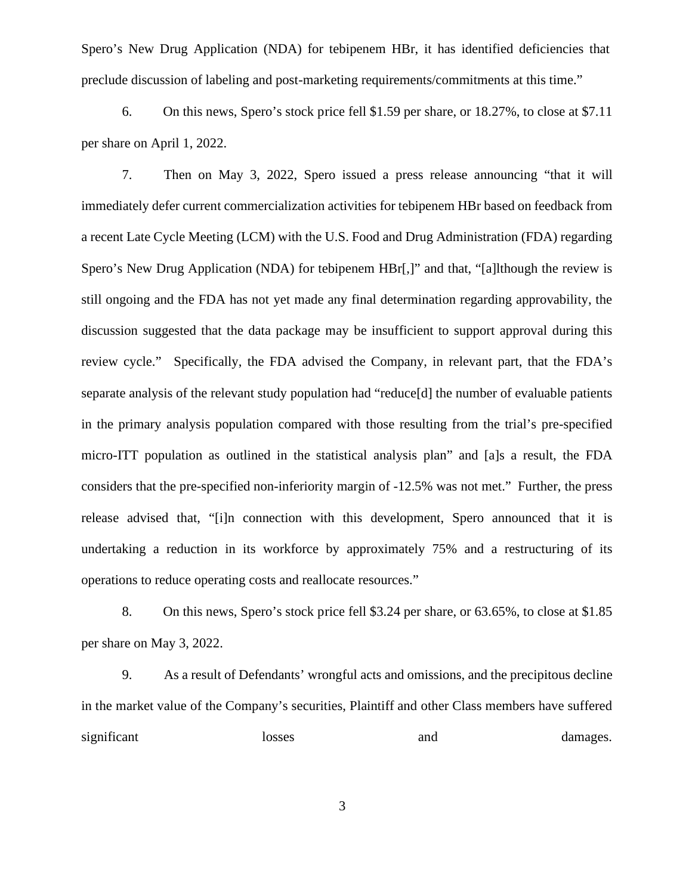Spero's New Drug Application (NDA) for tebipenem HBr, it has identified deficiencies that preclude discussion of labeling and post-marketing requirements/commitments at this time."

6. On this news, Spero's stock price fell \$1.59 per share, or 18.27%, to close at \$7.11 per share on April 1, 2022.

7. Then on May 3, 2022, Spero issued a press release announcing "that it will immediately defer current commercialization activities for tebipenem HBr based on feedback from a recent Late Cycle Meeting (LCM) with the U.S. Food and Drug Administration (FDA) regarding Spero's New Drug Application (NDA) for tebipenem HBr[,]" and that, "[a]lthough the review is still ongoing and the FDA has not yet made any final determination regarding approvability, the discussion suggested that the data package may be insufficient to support approval during this review cycle." Specifically, the FDA advised the Company, in relevant part, that the FDA's separate analysis of the relevant study population had "reduce[d] the number of evaluable patients in the primary analysis population compared with those resulting from the trial's pre-specified micro-ITT population as outlined in the statistical analysis plan" and [a]s a result, the FDA considers that the pre-specified non-inferiority margin of -12.5% was not met." Further, the press release advised that, "[i]n connection with this development, Spero announced that it is undertaking a reduction in its workforce by approximately 75% and a restructuring of its operations to reduce operating costs and reallocate resources."

8. On this news, Spero's stock price fell \$3.24 per share, or 63.65%, to close at \$1.85 per share on May 3, 2022.

9. As a result of Defendants' wrongful acts and omissions, and the precipitous decline in the market value of the Company's securities, Plaintiff and other Class members have suffered significant losses and damages.

3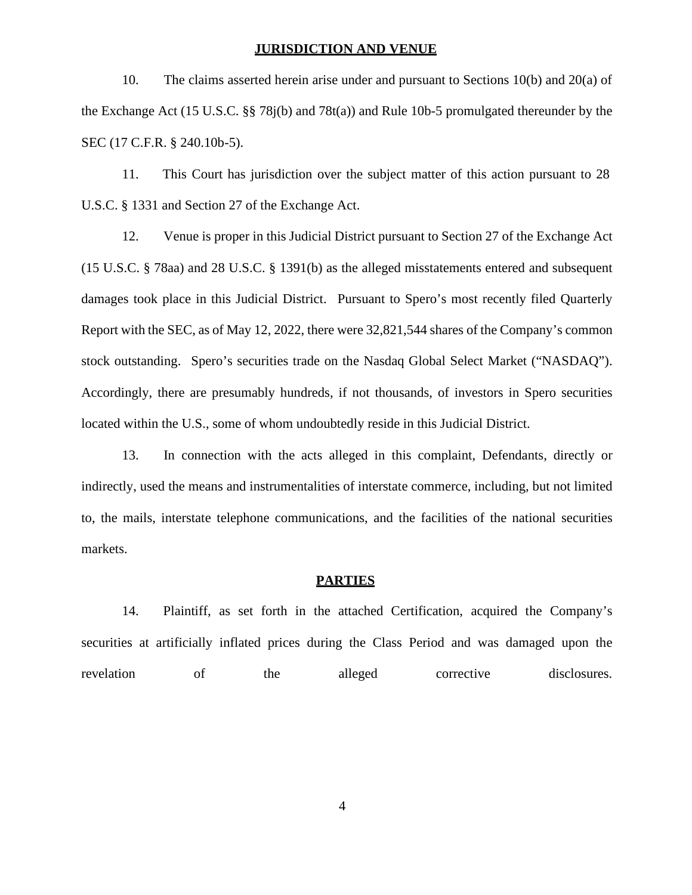#### **JURISDICTION AND VENUE**

10. The claims asserted herein arise under and pursuant to Sections 10(b) and 20(a) of the Exchange Act (15 U.S.C. §§ 78j(b) and 78t(a)) and Rule 10b-5 promulgated thereunder by the SEC (17 C.F.R. § 240.10b-5).

11. This Court has jurisdiction over the subject matter of this action pursuant to 28 U.S.C. § 1331 and Section 27 of the Exchange Act.

12. Venue is proper in this Judicial District pursuant to Section 27 of the Exchange Act (15 U.S.C. § 78aa) and 28 U.S.C. § 1391(b) as the alleged misstatements entered and subsequent damages took place in this Judicial District. Pursuant to Spero's most recently filed Quarterly Report with the SEC, as of May 12, 2022, there were 32,821,544 shares of the Company's common stock outstanding. Spero's securities trade on the Nasdaq Global Select Market ("NASDAQ"). Accordingly, there are presumably hundreds, if not thousands, of investors in Spero securities located within the U.S., some of whom undoubtedly reside in this Judicial District.

13. In connection with the acts alleged in this complaint, Defendants, directly or indirectly, used the means and instrumentalities of interstate commerce, including, but not limited to, the mails, interstate telephone communications, and the facilities of the national securities markets.

### **PARTIES**

14. Plaintiff, as set forth in the attached Certification, acquired the Company's securities at artificially inflated prices during the Class Period and was damaged upon the revelation of the alleged corrective disclosures.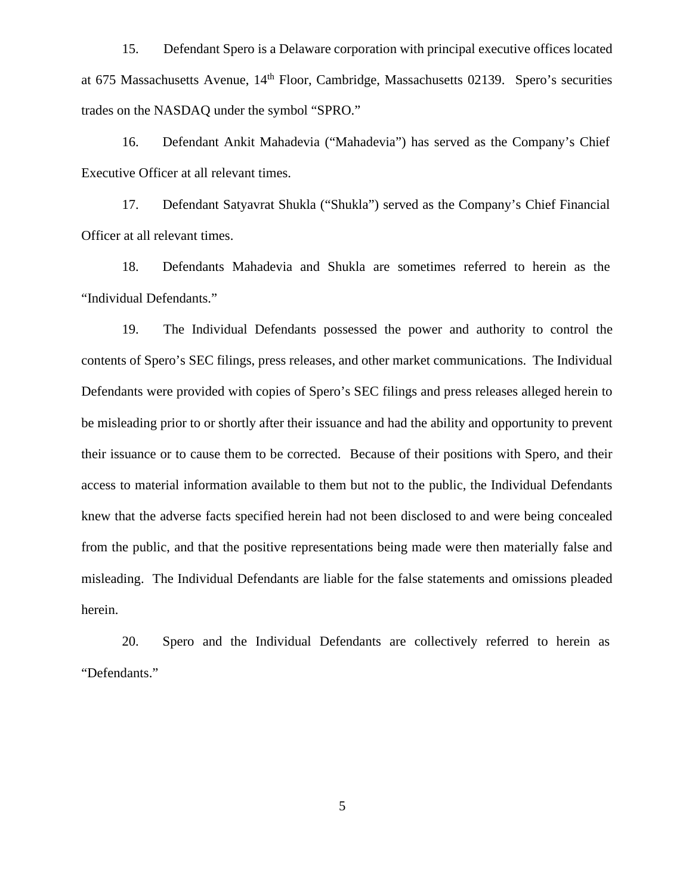15. Defendant Spero is a Delaware corporation with principal executive offices located at 675 Massachusetts Avenue, 14th Floor, Cambridge, Massachusetts 02139. Spero's securities trades on the NASDAQ under the symbol "SPRO."

16. Defendant Ankit Mahadevia ("Mahadevia") has served as the Company's Chief Executive Officer at all relevant times.

17. Defendant Satyavrat Shukla ("Shukla") served as the Company's Chief Financial Officer at all relevant times.

18. Defendants Mahadevia and Shukla are sometimes referred to herein as the "Individual Defendants."

19. The Individual Defendants possessed the power and authority to control the contents of Spero's SEC filings, press releases, and other market communications. The Individual Defendants were provided with copies of Spero's SEC filings and press releases alleged herein to be misleading prior to or shortly after their issuance and had the ability and opportunity to prevent their issuance or to cause them to be corrected. Because of their positions with Spero, and their access to material information available to them but not to the public, the Individual Defendants knew that the adverse facts specified herein had not been disclosed to and were being concealed from the public, and that the positive representations being made were then materially false and misleading. The Individual Defendants are liable for the false statements and omissions pleaded herein.

20. Spero and the Individual Defendants are collectively referred to herein as "Defendants."

5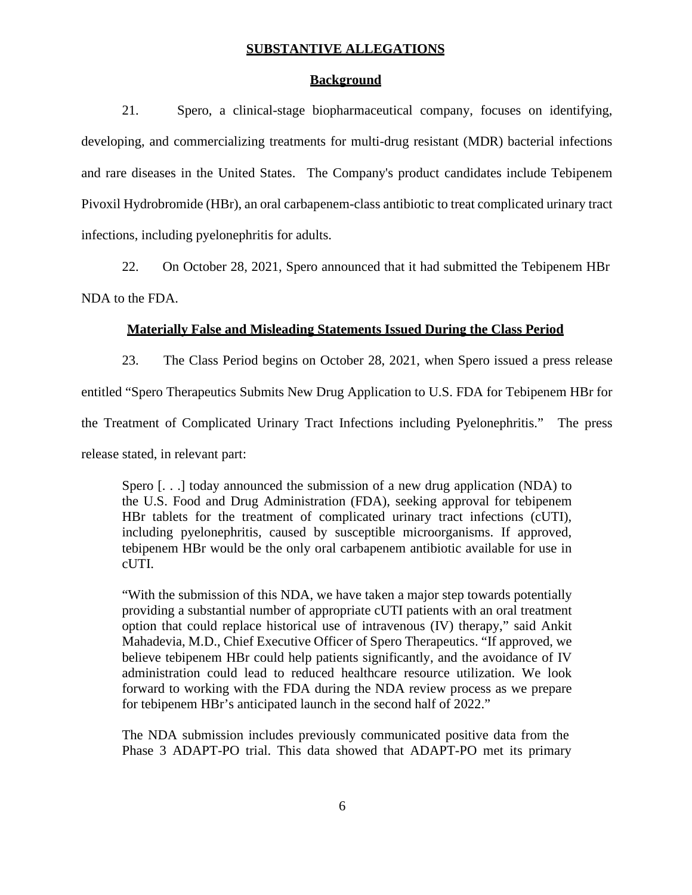#### **SUBSTANTIVE ALLEGATIONS**

#### **Background**

21. Spero, a clinical-stage biopharmaceutical company, focuses on identifying, developing, and commercializing treatments for multi-drug resistant (MDR) bacterial infections and rare diseases in the United States. The Company's product candidates include Tebipenem Pivoxil Hydrobromide (HBr), an oral carbapenem-class antibiotic to treat complicated urinary tract infections, including pyelonephritis for adults.

22. On October 28, 2021, Spero announced that it had submitted the Tebipenem HBr

NDA to the FDA.

### **Materially False and Misleading Statements Issued During the Class Period**

23. The Class Period begins on October 28, 2021, when Spero issued a press release entitled "Spero Therapeutics Submits New Drug Application to U.S. FDA for Tebipenem HBr for the Treatment of Complicated Urinary Tract Infections including Pyelonephritis." The press release stated, in relevant part:

Spero [. . .] today announced the submission of a new drug application (NDA) to the U.S. Food and Drug Administration (FDA), seeking approval for tebipenem HBr tablets for the treatment of complicated urinary tract infections (cUTI), including pyelonephritis, caused by susceptible microorganisms. If approved, tebipenem HBr would be the only oral carbapenem antibiotic available for use in cUTI.

"With the submission of this NDA, we have taken a major step towards potentially providing a substantial number of appropriate cUTI patients with an oral treatment option that could replace historical use of intravenous (IV) therapy," said Ankit Mahadevia, M.D., Chief Executive Officer of Spero Therapeutics. "If approved, we believe tebipenem HBr could help patients significantly, and the avoidance of IV administration could lead to reduced healthcare resource utilization. We look forward to working with the FDA during the NDA review process as we prepare for tebipenem HBr's anticipated launch in the second half of 2022."

The NDA submission includes previously communicated positive data from the Phase 3 ADAPT-PO trial. This data showed that ADAPT-PO met its primary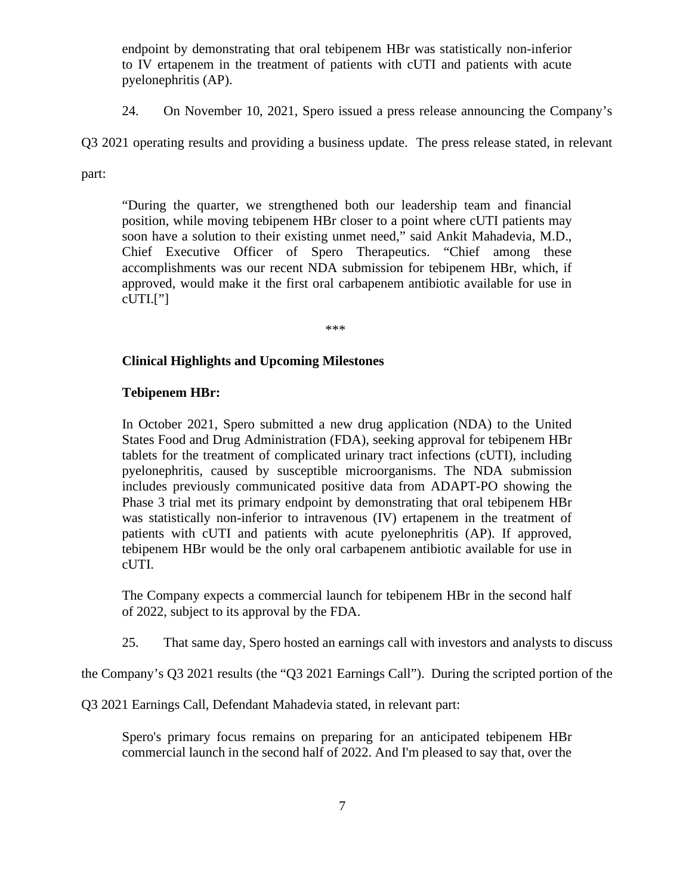endpoint by demonstrating that oral tebipenem HBr was statistically non-inferior to IV ertapenem in the treatment of patients with cUTI and patients with acute pyelonephritis (AP).

24. On November 10, 2021, Spero issued a press release announcing the Company's

Q3 2021 operating results and providing a business update. The press release stated, in relevant

part:

"During the quarter, we strengthened both our leadership team and financial position, while moving tebipenem HBr closer to a point where cUTI patients may soon have a solution to their existing unmet need," said Ankit Mahadevia, M.D., Chief Executive Officer of Spero Therapeutics. "Chief among these accomplishments was our recent NDA submission for tebipenem HBr, which, if approved, would make it the first oral carbapenem antibiotic available for use in  $cUTI.$ ["]

\*\*\*

## **Clinical Highlights and Upcoming Milestones**

### **Tebipenem HBr:**

In October 2021, Spero submitted a new drug application (NDA) to the United States Food and Drug Administration (FDA), seeking approval for tebipenem HBr tablets for the treatment of complicated urinary tract infections (cUTI), including pyelonephritis, caused by susceptible microorganisms. The NDA submission includes previously communicated positive data from ADAPT-PO showing the Phase 3 trial met its primary endpoint by demonstrating that oral tebipenem HBr was statistically non-inferior to intravenous (IV) ertapenem in the treatment of patients with cUTI and patients with acute pyelonephritis (AP). If approved, tebipenem HBr would be the only oral carbapenem antibiotic available for use in cUTI.

The Company expects a commercial launch for tebipenem HBr in the second half of 2022, subject to its approval by the FDA.

25. That same day, Spero hosted an earnings call with investors and analysts to discuss

the Company's Q3 2021 results (the "Q3 2021 Earnings Call"). During the scripted portion of the

Q3 2021 Earnings Call, Defendant Mahadevia stated, in relevant part:

Spero's primary focus remains on preparing for an anticipated tebipenem HBr commercial launch in the second half of 2022. And I'm pleased to say that, over the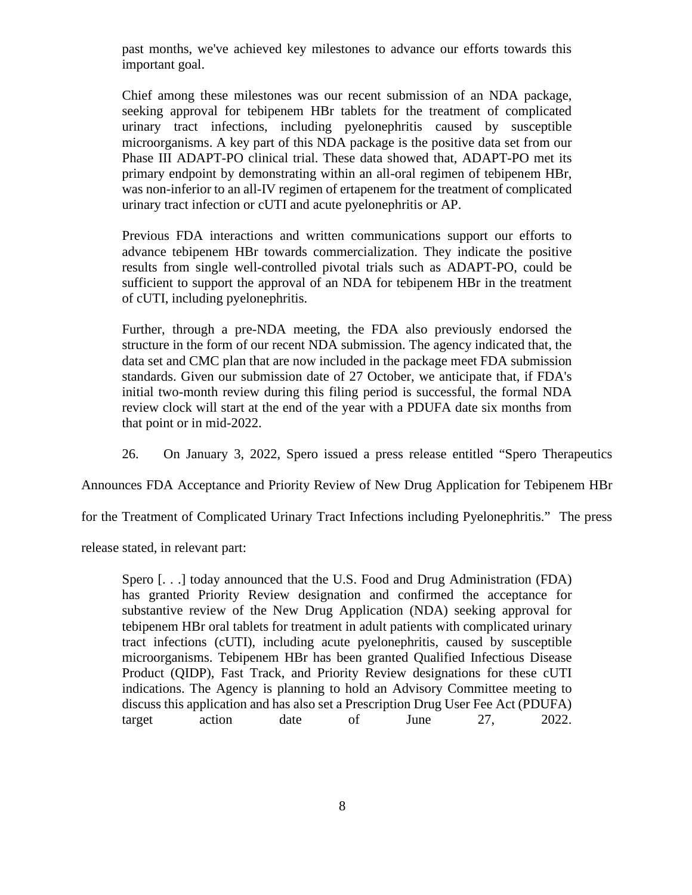past months, we've achieved key milestones to advance our efforts towards this important goal.

Chief among these milestones was our recent submission of an NDA package, seeking approval for tebipenem HBr tablets for the treatment of complicated urinary tract infections, including pyelonephritis caused by susceptible microorganisms. A key part of this NDA package is the positive data set from our Phase III ADAPT-PO clinical trial. These data showed that, ADAPT-PO met its primary endpoint by demonstrating within an all-oral regimen of tebipenem HBr, was non-inferior to an all-IV regimen of ertapenem for the treatment of complicated urinary tract infection or cUTI and acute pyelonephritis or AP.

Previous FDA interactions and written communications support our efforts to advance tebipenem HBr towards commercialization. They indicate the positive results from single well-controlled pivotal trials such as ADAPT-PO, could be sufficient to support the approval of an NDA for tebipenem HBr in the treatment of cUTI, including pyelonephritis.

Further, through a pre-NDA meeting, the FDA also previously endorsed the structure in the form of our recent NDA submission. The agency indicated that, the data set and CMC plan that are now included in the package meet FDA submission standards. Given our submission date of 27 October, we anticipate that, if FDA's initial two-month review during this filing period is successful, the formal NDA review clock will start at the end of the year with a PDUFA date six months from that point or in mid-2022.

26. On January 3, 2022, Spero issued a press release entitled "Spero Therapeutics

Announces FDA Acceptance and Priority Review of New Drug Application for Tebipenem HBr

for the Treatment of Complicated Urinary Tract Infections including Pyelonephritis." The press

release stated, in relevant part:

Spero [. . .] today announced that the U.S. Food and Drug Administration (FDA) has granted Priority Review designation and confirmed the acceptance for substantive review of the New Drug Application (NDA) seeking approval for tebipenem HBr oral tablets for treatment in adult patients with complicated urinary tract infections (cUTI), including acute pyelonephritis, caused by susceptible microorganisms. Tebipenem HBr has been granted Qualified Infectious Disease Product (QIDP), Fast Track, and Priority Review designations for these cUTI indications. The Agency is planning to hold an Advisory Committee meeting to discuss this application and has also set a Prescription Drug User Fee Act (PDUFA) target action date of June 27, 2022.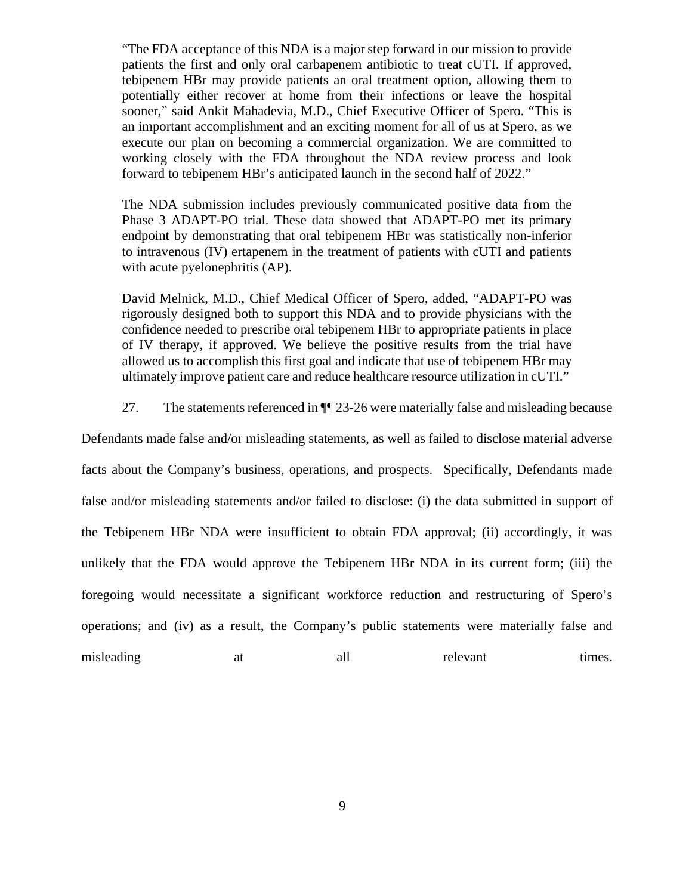"The FDA acceptance of this NDA is a major step forward in our mission to provide patients the first and only oral carbapenem antibiotic to treat cUTI. If approved, tebipenem HBr may provide patients an oral treatment option, allowing them to potentially either recover at home from their infections or leave the hospital sooner," said Ankit Mahadevia, M.D., Chief Executive Officer of Spero. "This is an important accomplishment and an exciting moment for all of us at Spero, as we execute our plan on becoming a commercial organization. We are committed to working closely with the FDA throughout the NDA review process and look forward to tebipenem HBr's anticipated launch in the second half of 2022."

The NDA submission includes previously communicated positive data from the Phase 3 ADAPT-PO trial. These data showed that ADAPT-PO met its primary endpoint by demonstrating that oral tebipenem HBr was statistically non-inferior to intravenous (IV) ertapenem in the treatment of patients with cUTI and patients with acute pyelonephritis (AP).

David Melnick, M.D., Chief Medical Officer of Spero, added, "ADAPT-PO was rigorously designed both to support this NDA and to provide physicians with the confidence needed to prescribe oral tebipenem HBr to appropriate patients in place of IV therapy, if approved. We believe the positive results from the trial have allowed us to accomplish this first goal and indicate that use of tebipenem HBr may ultimately improve patient care and reduce healthcare resource utilization in cUTI."

27. The statements referenced in ¶¶ 23-26 were materially false and misleading because

Defendants made false and/or misleading statements, as well as failed to disclose material adverse facts about the Company's business, operations, and prospects. Specifically, Defendants made false and/or misleading statements and/or failed to disclose: (i) the data submitted in support of the Tebipenem HBr NDA were insufficient to obtain FDA approval; (ii) accordingly, it was unlikely that the FDA would approve the Tebipenem HBr NDA in its current form; (iii) the foregoing would necessitate a significant workforce reduction and restructuring of Spero's operations; and (iv) as a result, the Company's public statements were materially false and misleading at all relevant times.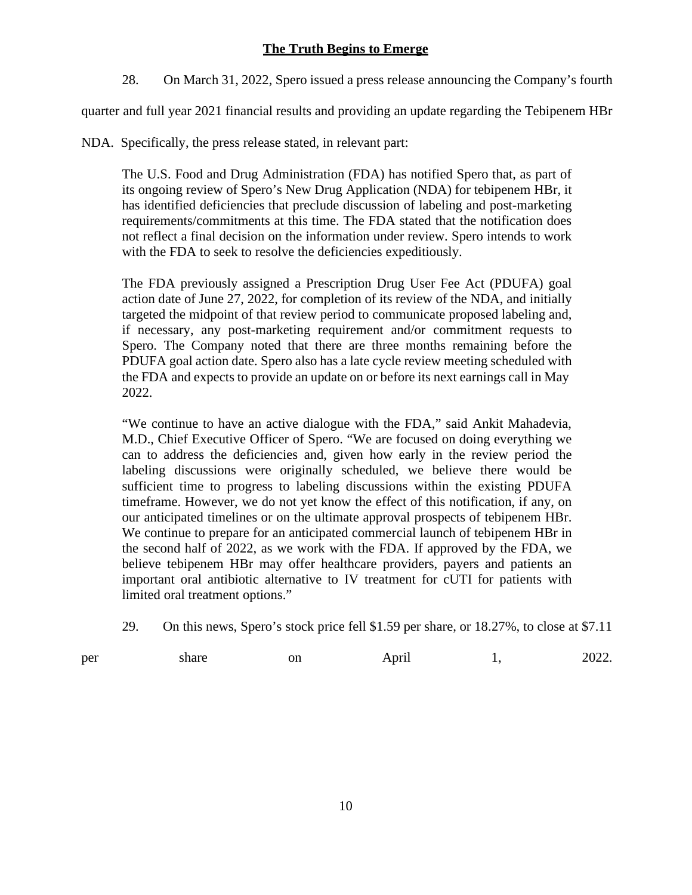## **The Truth Begins to Emerge**

28. On March 31, 2022, Spero issued a press release announcing the Company's fourth

quarter and fullyear 2021 financial results and providing an update regarding the Tebipenem HBr

NDA. Specifically, the press release stated, in relevant part:

The U.S. Food and Drug Administration (FDA) has notified Spero that, as part of its ongoing review of Spero's New Drug Application (NDA) for tebipenem HBr, it has identified deficiencies that preclude discussion of labeling and post-marketing requirements/commitments at this time. The FDA stated that the notification does not reflect a final decision on the information under review. Spero intends to work with the FDA to seek to resolve the deficiencies expeditiously.

The FDA previously assigned a Prescription Drug User Fee Act (PDUFA) goal action date of June 27, 2022, for completion of its review of the NDA, and initially targeted the midpoint of that review period to communicate proposed labeling and, if necessary, any post-marketing requirement and/or commitment requests to Spero. The Company noted that there are three months remaining before the PDUFA goal action date. Spero also has a late cycle review meeting scheduled with the FDA and expects to provide an update on or before its next earnings call in May 2022.

"We continue to have an active dialogue with the FDA," said Ankit Mahadevia, M.D., Chief Executive Officer of Spero. "We are focused on doing everything we can to address the deficiencies and, given how early in the review period the labeling discussions were originally scheduled, we believe there would be sufficient time to progress to labeling discussions within the existing PDUFA timeframe. However, we do not yet know the effect of this notification, if any, on our anticipated timelines or on the ultimate approval prospects of tebipenem HBr. We continue to prepare for an anticipated commercial launch of tebipenem HBr in the second half of 2022, as we work with the FDA. If approved by the FDA, we believe tebipenem HBr may offer healthcare providers, payers and patients an important oral antibiotic alternative to IV treatment for cUTI for patients with limited oral treatment options."

29. On this news, Spero's stock price fell \$1.59 per share, or 18.27%, to close at \$7.11

| per | share<br>. | on | April | 2022.<br>---- |
|-----|------------|----|-------|---------------|
|     |            |    |       |               |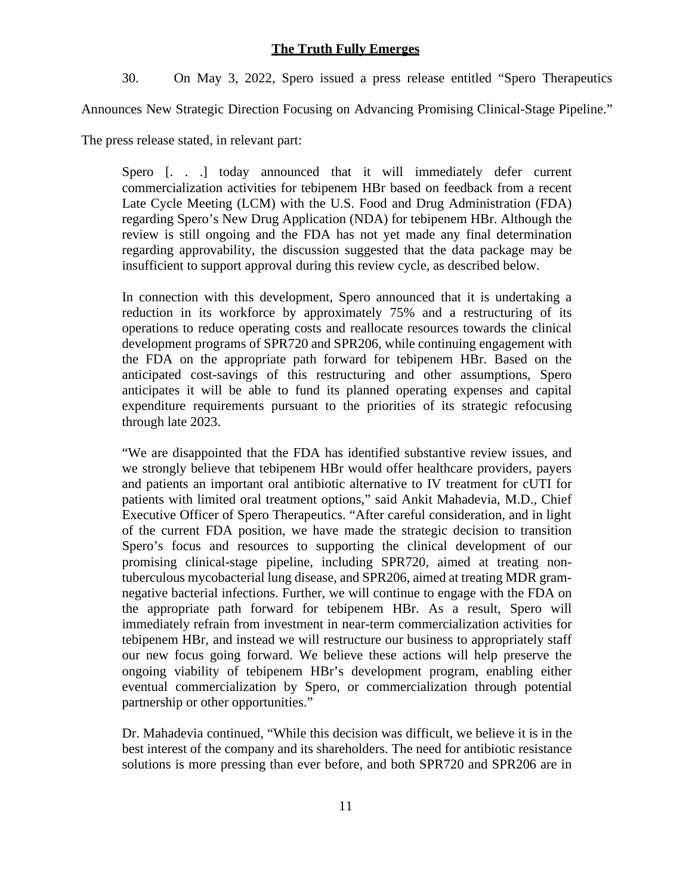### **The Truth Fully Emerges**

30. On May 3, 2022, Spero issued a press release entitled "Spero Therapeutics

Announces New Strategic Direction Focusing on Advancing Promising Clinical-Stage Pipeline."

The press release stated, in relevant part:

Spero [...] today announced that it will immediately defer current commercialization activities for tebipenem HBr based on feedback from a recent Late Cycle Meeting (LCM) with the U.S. Food and Drug Administration (FDA) regarding Spero's New Drug Application (NDA) for tebipenem HBr. Although the review is still ongoing and the FDA has not yet made any final determination regarding approvability, the discussion suggested that the data package may be insufficient to support approval during this review cycle, as described below.

In connection with this development, Spero announced that it is undertaking a reduction in its workforce by approximately 75% and a restructuring of its operations to reduce operating costs and reallocate resources towards the clinical development programs of SPR720 and SPR206, while continuing engagement with the FDA on the appropriate path forward for tebipenem HBr. Based on the anticipated cost-savings of this restructuring and other assumptions, Spero anticipates it will be able to fund its planned operating expenses and capital expenditure requirements pursuant to the priorities of its strategic refocusing through late 2023.

"We are disappointed that the FDA has identified substantive review issues, and we strongly believe that tebipenem HBr would offer healthcare providers, payers and patients an important oral antibiotic alternative to IV treatment for cUTI for patients with limited oral treatment options," said Ankit Mahadevia, M.D., Chief Executive Officer of Spero Therapeutics. "After careful consideration, and in light of the current FDA position, we have made the strategic decision to transition Spero's focus and resources to supporting the clinical development of our promising clinical-stage pipeline, including SPR720, aimed at treating nontuberculous mycobacterial lung disease, and SPR206, aimed at treating MDR gram negative bacterial infections. Further, we will continue to engage with the FDA on the appropriate path forward for tebipenem HBr. As a result, Spero will immediately refrain from investment in near-term commercialization activities for tebipenem HBr, and instead we will restructure our business to appropriately staff our new focus going forward. We believe these actions will help preserve the ongoing viability of tebipenem HBr's development program, enabling either eventual commercialization by Spero, or commercialization through potential partnership or other opportunities."

Dr. Mahadevia continued, "While this decision was difficult, we believe it is in the best interest of the company and its shareholders. The need for antibiotic resistance solutions is more pressing than ever before, and both SPR720 and SPR206 are in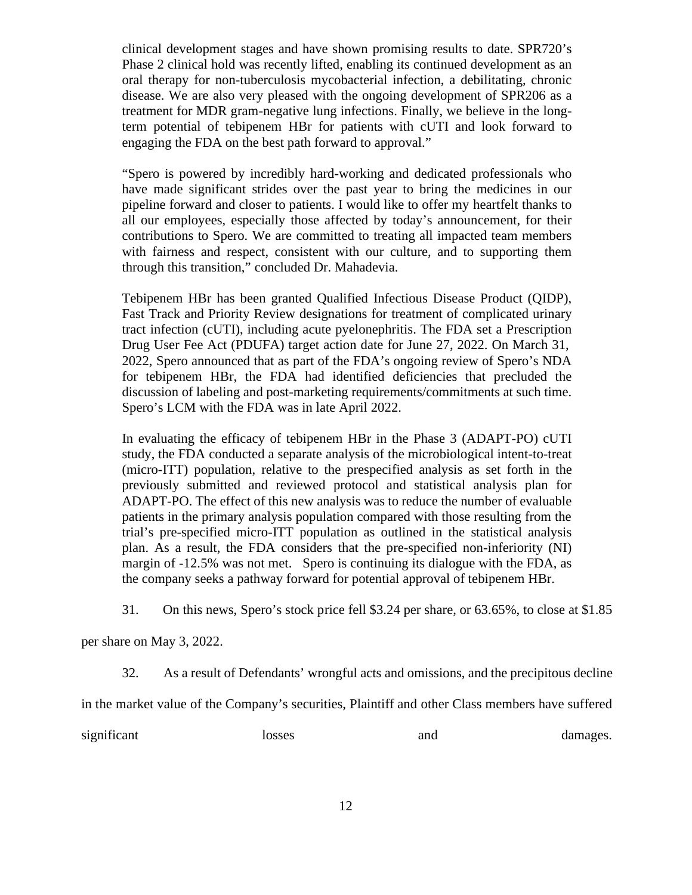clinical development stages and have shown promising results to date. SPR720's Phase 2 clinical hold was recently lifted, enabling its continued development as an oral therapy for non-tuberculosis mycobacterial infection, a debilitating, chronic disease. We are also very pleased with the ongoing development of SPR206 as a treatment for MDR gram-negative lung infections. Finally, we believe in the longterm potential of tebipenem HBr for patients with cUTI and look forward to engaging the FDA on the best path forward to approval."

"Spero is powered by incredibly hard-working and dedicated professionals who have made significant strides over the past year to bring the medicines in our pipeline forward and closer to patients. I would like to offer my heartfelt thanks to all our employees, especially those affected by today's announcement, for their contributions to Spero. We are committed to treating all impacted team members with fairness and respect, consistent with our culture, and to supporting them through this transition," concluded Dr. Mahadevia.

Tebipenem HBr has been granted Qualified Infectious Disease Product (QIDP), Fast Track and Priority Review designations for treatment of complicated urinary tract infection (cUTI), including acute pyelonephritis. The FDA set a Prescription Drug User Fee Act (PDUFA) target action date for June 27, 2022. On March 31, 2022, Spero announced that as part of the FDA's ongoing review of Spero's NDA for tebipenem HBr, the FDA had identified deficiencies that precluded the discussion of labeling and post-marketing requirements/commitments at such time. Spero's LCM with the FDA was in late April 2022.

In evaluating the efficacy of tebipenem HBr in the Phase 3 (ADAPT-PO) cUTI study, the FDA conducted a separate analysis of the microbiological intent-to-treat (micro-ITT) population, relative to the prespecified analysis as set forth in the previously submitted and reviewed protocol and statistical analysis plan for ADAPT-PO. The effect of this new analysis was to reduce the number of evaluable patients in the primary analysis population compared with those resulting from the trial's pre-specified micro-ITT population as outlined in the statistical analysis plan. As a result, the FDA considers that the pre-specified non-inferiority (NI) margin of -12.5% was not met. Spero is continuing its dialogue with the FDA, as the company seeks a pathway forward for potential approval of tebipenem HBr.

31. On this news, Spero's stock price fell \$3.24 per share, or 63.65%, to close at \$1.85

per share on May 3, 2022.

32. As a result of Defendants' wrongful acts and omissions, and the precipitous decline

in the market value of the Company's securities, Plaintiff and other Class members have suffered

significant losses and damages.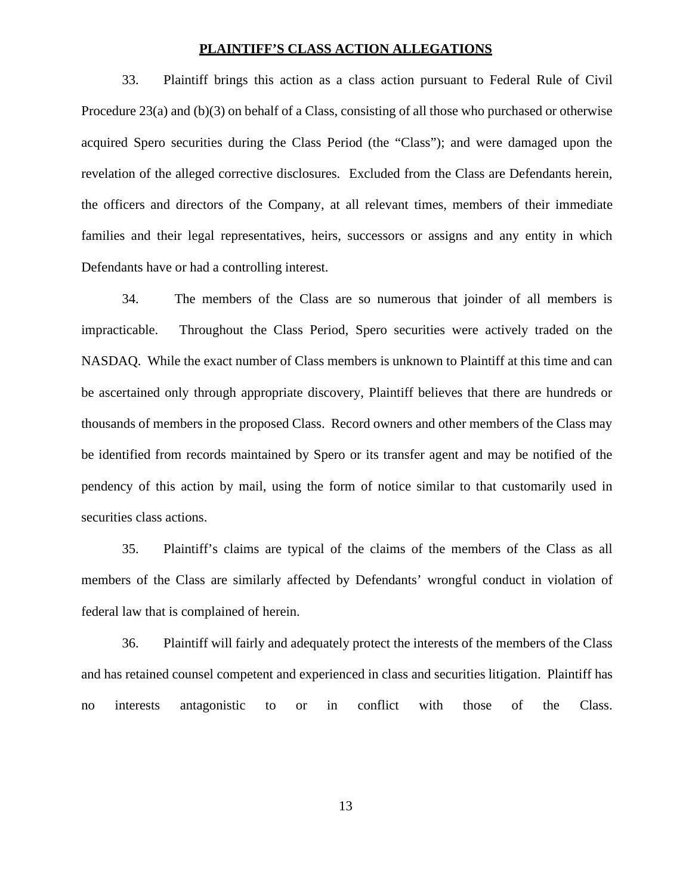### **PLAINTIFF'S CLASS ACTION ALLEGATIONS**

33. Plaintiff brings this action as a class action pursuant to Federal Rule of Civil Procedure 23(a) and (b)(3) on behalf of a Class, consisting of all those who purchased or otherwise acquired Spero securities during the Class Period (the "Class"); and were damaged upon the revelation of the alleged corrective disclosures. Excluded from the Class are Defendants herein, the officers and directors of the Company, at all relevant times, members of their immediate families and their legal representatives, heirs, successors or assigns and any entity in which Defendants have or had a controlling interest.

34. The members of the Class are so numerous that joinder of all members is impracticable. Throughout the Class Period, Spero securities were actively traded on the NASDAQ. While the exact number of Class members is unknown to Plaintiff at this time and can be ascertained only through appropriate discovery, Plaintiff believes that there are hundreds or thousands of members in the proposed Class. Record owners and other members of the Class may be identified from records maintained by Spero or its transfer agent and may be notified of the pendency of this action by mail, using the form of notice similar to that customarily used in securities class actions.

35. Plaintiff's claims are typical of the claims of the members of the Class as all members of the Class are similarly affected by Defendants' wrongful conduct in violation of federal law that is complained of herein.

36. Plaintiff will fairly and adequately protect the interests of the members of the Class and has retained counsel competent and experienced in class and securities litigation. Plaintiff has no interests antagonistic to or in conflict with those of the Class.

13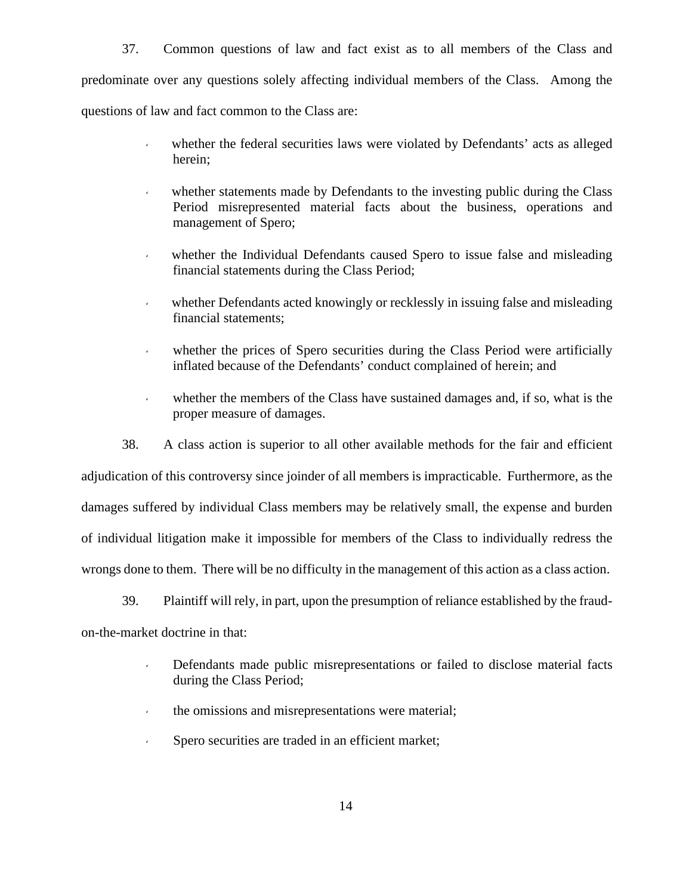37. Common questions of law and fact exist as to all members of the Class and predominate over any questions solely affecting individual members of the Class. Among the questions of law and fact common to the Class are:

- whether the federal securities laws were violated by Defendants' acts as alleged herein;
- whether statements made by Defendants to the investing public during the Class Period misrepresented material facts about the business, operations and management of Spero;
- whether the Individual Defendants caused Spero to issue false and misleading financial statements during the Class Period;
- whether Defendants acted knowingly or recklessly in issuing false and misleading financial statements;
- whether the prices of Spero securities during the Class Period were artificially inflated because of the Defendants' conduct complained of herein; and
- whether the members of the Class have sustained damages and, if so, what is the proper measure of damages.

38. A class action is superior to all other available methods for the fair and efficient adjudication of this controversy since joinder of all members is impracticable. Furthermore, as the damages suffered by individual Class members may be relatively small, the expense and burden of individual litigation make it impossible for members of the Class to individually redress the wrongs done to them. There will be no difficulty in the management of this action as a class action.

39. Plaintiff will rely, in part, upon the presumption of reliance established by the fraud on-the-market doctrine in that:

- Defendants made public misrepresentations or failed to disclose material facts during the Class Period;
- the omissions and misrepresentations were material;
- Spero securities are traded in an efficient market;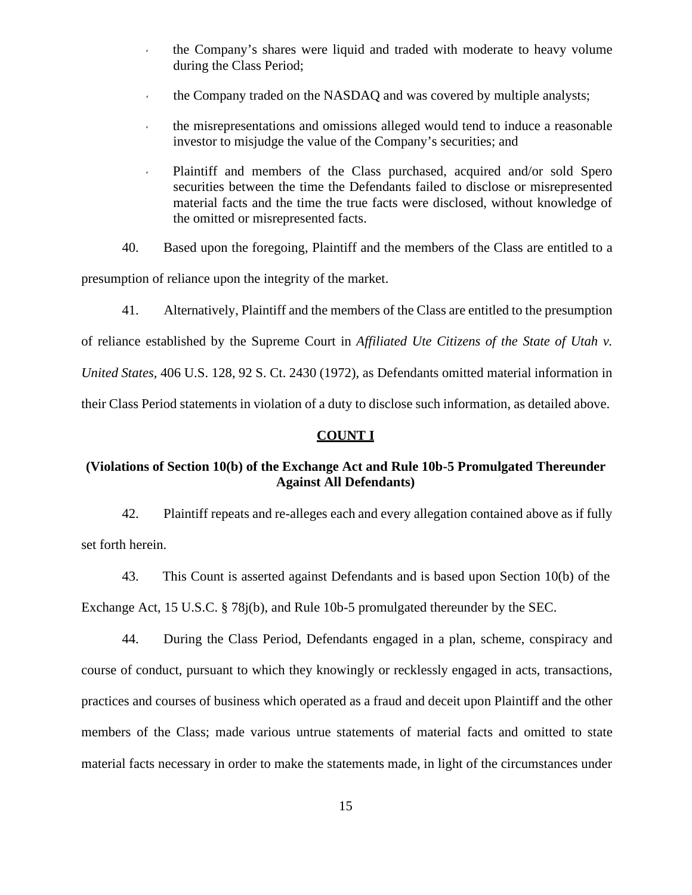- the Company's shares were liquid and traded with moderate to heavy volume during the Class Period;
- the Company traded on the NASDAQ and was covered by multiple analysts;
- the misrepresentations and omissions alleged would tend to induce a reasonable investor to misjudge the value of the Company's securities; and
- Plaintiff and members of the Class purchased, acquired and/or sold Spero securities between the time the Defendants failed to disclose or misrepresented material facts and the time the true facts were disclosed, without knowledge of the omitted or misrepresented facts.
- 40. Based upon the foregoing, Plaintiff and the members of the Class are entitled to a

presumption of reliance upon the integrity of the market.

41. Alternatively, Plaintiff and the members of the Class are entitled to the presumption

of reliance established by the Supreme Court in *Affiliated Ute Citizens of the State of Utah v.*

*United States*, 406 U.S. 128, 92 S. Ct. 2430 (1972), as Defendants omitted material information in

their Class Period statements in violation of a duty to disclose such information, as detailed above.

## **COUNT I**

## **(Violations of Section 10(b) of the Exchange Act and Rule 10b-5 Promulgated Thereunder Against All Defendants)**

42. Plaintiff repeats and re-alleges each and every allegation contained above as if fully set forth herein.

43. This Count is asserted against Defendants and is based upon Section 10(b) of the Exchange Act, 15 U.S.C. § 78j(b), and Rule 10b-5 promulgated thereunder by the SEC.

44. During the Class Period, Defendants engaged in a plan, scheme, conspiracy and course of conduct, pursuant to which they knowingly or recklessly engaged in acts, transactions, practices and courses of business which operated as a fraud and deceit upon Plaintiff and the other members of the Class; made various untrue statements of material facts and omitted to state material facts necessary in order to make the statements made, in light of the circumstances under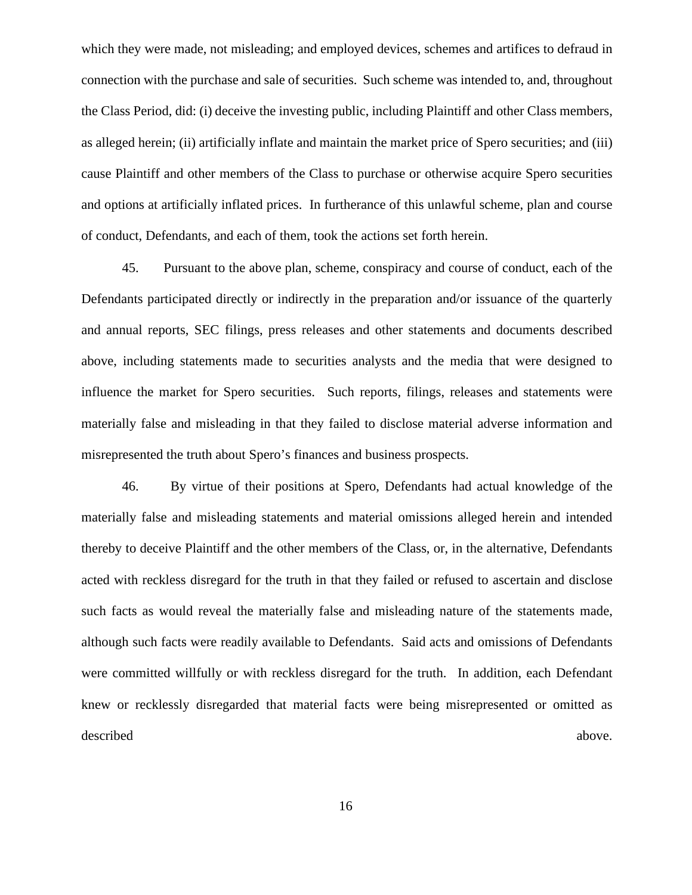which they were made, not misleading; and employed devices, schemes and artifices to defraud in connection with the purchase and sale of securities. Such scheme was intended to, and, throughout the Class Period, did: (i) deceive the investing public, including Plaintiff and other Class members, as alleged herein; (ii) artificially inflate and maintain the market price of Spero securities; and (iii) cause Plaintiff and other members of the Class to purchase or otherwise acquire Spero securities and options at artificially inflated prices. In furtherance of this unlawful scheme, plan and course of conduct, Defendants, and each of them, took the actions set forth herein.

45. Pursuant to the above plan, scheme, conspiracy and course of conduct, each of the Defendants participated directly or indirectly in the preparation and/or issuance of the quarterly and annual reports, SEC filings, press releases and other statements and documents described above, including statements made to securities analysts and the media that were designed to influence the market for Spero securities. Such reports, filings, releases and statements were materially false and misleading in that they failed to disclose material adverse information and misrepresented the truth about Spero's finances and business prospects.

46. By virtue of their positions at Spero, Defendants had actual knowledge of the materially false and misleading statements and material omissions alleged herein and intended thereby to deceive Plaintiff and the other members of the Class, or, in the alternative, Defendants acted with reckless disregard for the truth in that they failed or refused to ascertain and disclose such facts as would reveal the materially false and misleading nature of the statements made, although such facts were readily available to Defendants. Said acts and omissions of Defendants were committed willfully or with reckless disregard for the truth. In addition, each Defendant knew or recklessly disregarded that material facts were being misrepresented or omitted as described above.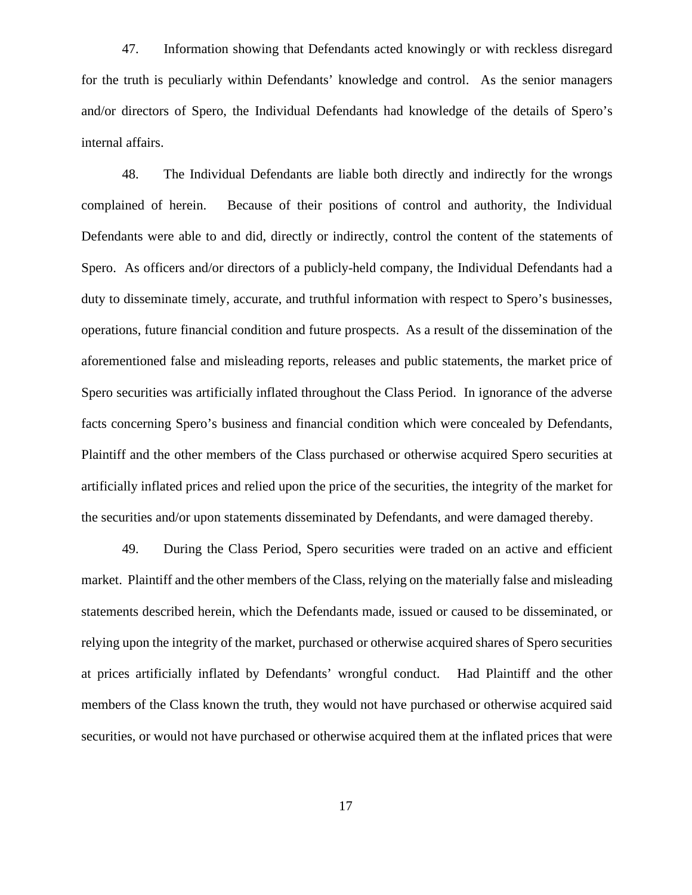47. Information showing that Defendants acted knowingly or with reckless disregard for the truth is peculiarly within Defendants' knowledge and control. As the senior managers and/or directors of Spero, the Individual Defendants had knowledge of the details of Spero's internal affairs.

48. The Individual Defendants are liable both directly and indirectly for the wrongs complained of herein. Because of their positions of control and authority, the Individual Defendants were able to and did, directly or indirectly, control the content of the statements of Spero. As officers and/or directors of a publicly-held company, the Individual Defendants had a duty to disseminate timely, accurate, and truthful information with respect to Spero's businesses, operations, future financial condition and future prospects. As a result of the dissemination of the aforementioned false and misleading reports, releases and public statements, the market price of Spero securities was artificially inflated throughout the Class Period. In ignorance of the adverse facts concerning Spero's business and financial condition which were concealed by Defendants, Plaintiff and the other members of the Class purchased or otherwise acquired Spero securities at artificially inflated prices and relied upon the price of the securities, the integrity of the market for the securities and/or upon statements disseminated by Defendants, and were damaged thereby.

49. During the Class Period, Spero securities were traded on an active and efficient market. Plaintiff and the other members of the Class, relying on the materially false and misleading statements described herein, which the Defendants made, issued or caused to be disseminated, or relying upon the integrity of the market, purchased or otherwise acquired shares of Spero securities at prices artificially inflated by Defendants' wrongful conduct. Had Plaintiff and the other members of the Class known the truth, they would not have purchased or otherwise acquired said securities, or would not have purchased or otherwise acquired them at the inflated prices that were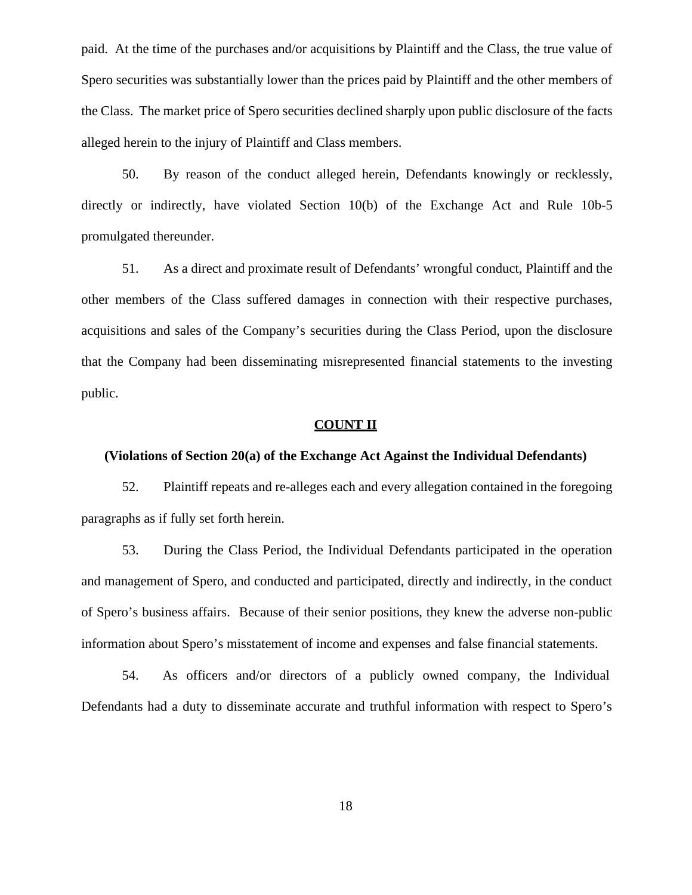paid. At the time of the purchases and/or acquisitions by Plaintiff and the Class, the true value of Spero securities was substantially lower than the prices paid by Plaintiff and the other members of the Class. The market price of Spero securities declined sharply upon public disclosure of the facts alleged herein to the injury of Plaintiff and Class members.

50. By reason of the conduct alleged herein, Defendants knowingly or recklessly, directly or indirectly, have violated Section 10(b) of the Exchange Act and Rule 10b-5 promulgated thereunder.

51. As a direct and proximate result of Defendants' wrongful conduct, Plaintiff and the other members of the Class suffered damages in connection with their respective purchases, acquisitions and sales of the Company's securities during the Class Period, upon the disclosure that the Company had been disseminating misrepresented financial statements to the investing public.

### **COUNT II**

### **(Violations of Section 20(a) of the Exchange Act Against the Individual Defendants)**

52. Plaintiff repeats and re-alleges each and every allegation contained in the foregoing paragraphs as if fully set forth herein.

53. During the Class Period, the Individual Defendants participated in the operation and management of Spero, and conducted and participated, directly and indirectly, in the conduct of Spero's business affairs. Because of their senior positions, they knew the adverse non-public information about Spero's misstatement of income and expenses and false financial statements.

54. As officers and/or directors of a publicly owned company, the Individual Defendants had a duty to disseminate accurate and truthful information with respect to Spero's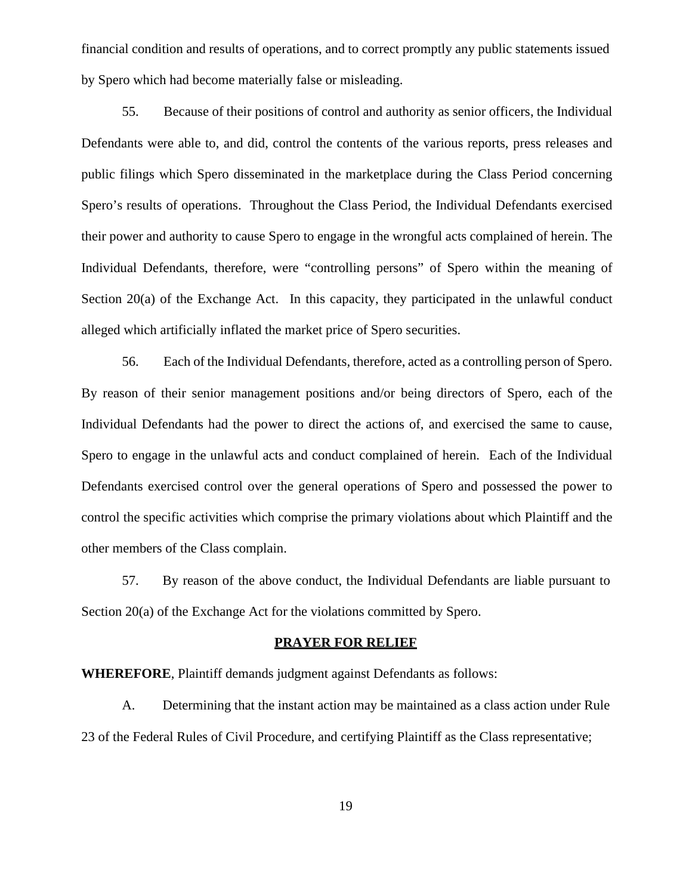financial condition and results of operations, and to correct promptly any public statements issued by Spero which had become materially false or misleading.

55. Because of their positions of control and authority as senior officers, the Individual Defendants were able to, and did, control the contents of the various reports, press releases and public filings which Spero disseminated in the marketplace during the Class Period concerning Spero's results of operations. Throughout the Class Period, the Individual Defendants exercised their power and authority to cause Spero to engage in the wrongful acts complained of herein. The Individual Defendants, therefore, were "controlling persons" of Spero within the meaning of Section 20(a) of the Exchange Act. In this capacity, they participated in the unlawful conduct alleged which artificially inflated the market price of Spero securities.

56. Each of the Individual Defendants, therefore, acted as a controlling person of Spero. By reason of their senior management positions and/or being directors of Spero, each of the Individual Defendants had the power to direct the actions of, and exercised the same to cause, Spero to engage in the unlawful acts and conduct complained of herein. Each of the Individual Defendants exercised control over the general operations of Spero and possessed the power to control the specific activities which comprise the primary violations about which Plaintiff and the other members of the Class complain.

57. By reason of the above conduct, the Individual Defendants are liable pursuant to Section 20(a) of the Exchange Act for the violations committed by Spero.

## **PRAYER FOR RELIEF**

**WHEREFORE**, Plaintiff demands judgment against Defendants as follows:

A. Determining that the instant action may be maintained as a class action under Rule 23 of the Federal Rules of Civil Procedure, and certifying Plaintiff as the Class representative;